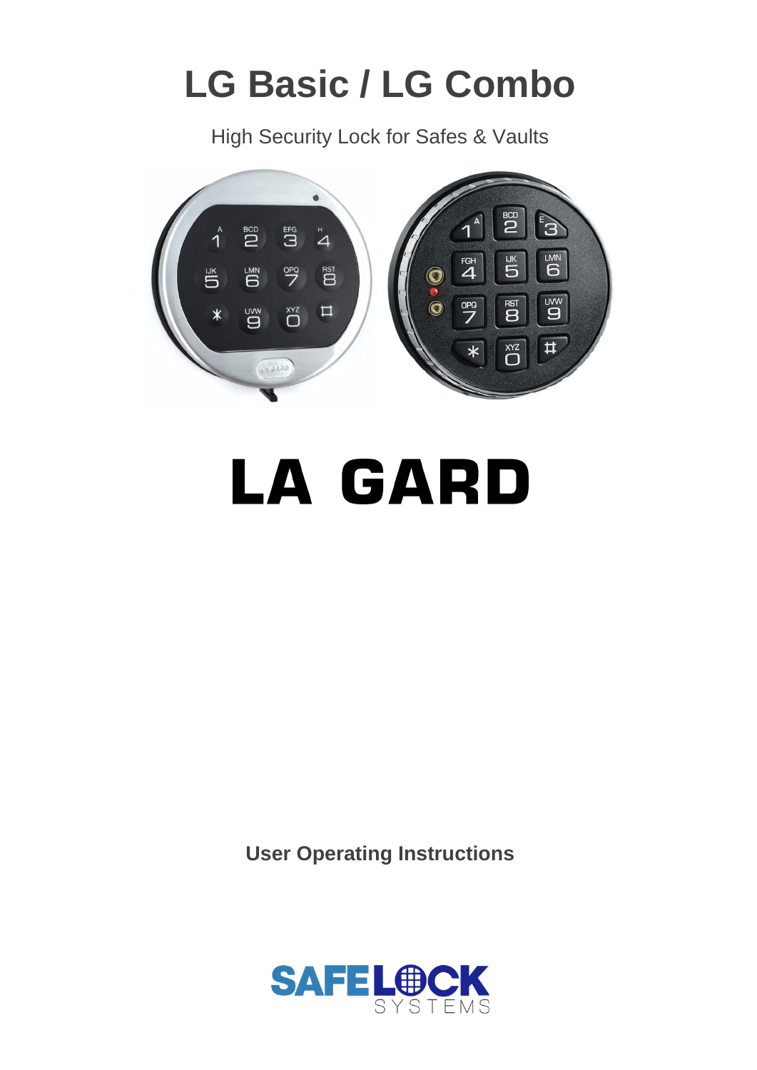# **LG Basic / LG Combo**

High Security Lock for Safes & Vaults



**LA GARD** 

**User Operating Instructions**

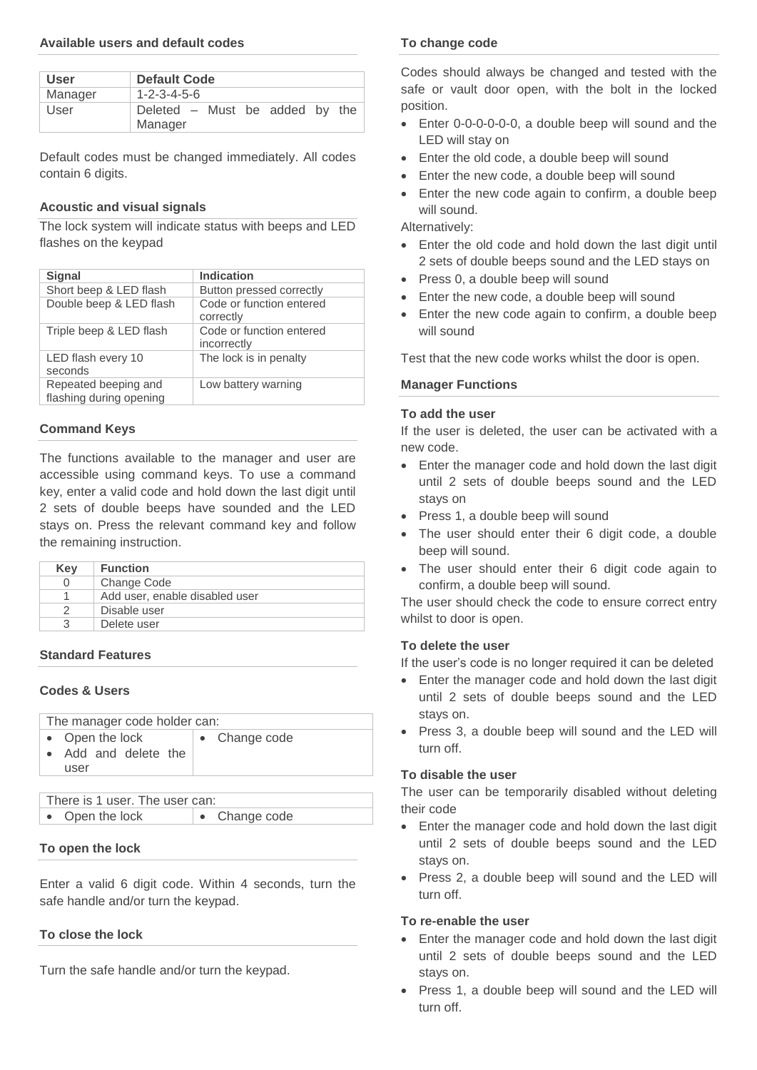## **Available users and default codes**

| <b>User</b> | <b>Default Code</b>                       |  |
|-------------|-------------------------------------------|--|
| Manager     | $1 - 2 - 3 - 4 - 5 - 6$                   |  |
| User        | Deleted – Must be added by the<br>Manager |  |

Default codes must be changed immediately. All codes contain 6 digits.

## **Acoustic and visual signals**

The lock system will indicate status with beeps and LED flashes on the keypad

| <b>Signal</b>                                   | <b>Indication</b>                       |
|-------------------------------------------------|-----------------------------------------|
| Short beep & LED flash                          | Button pressed correctly                |
| Double beep & LED flash                         | Code or function entered<br>correctly   |
| Triple beep & LED flash                         | Code or function entered<br>incorrectly |
| LED flash every 10<br>seconds                   | The lock is in penalty                  |
| Repeated beeping and<br>flashing during opening | Low battery warning                     |

## **Command Keys**

The functions available to the manager and user are accessible using command keys. To use a command key, enter a valid code and hold down the last digit until 2 sets of double beeps have sounded and the LED stays on. Press the relevant command key and follow the remaining instruction.

| Key              | <b>Function</b>                |
|------------------|--------------------------------|
| $\left( \right)$ | Change Code                    |
|                  | Add user, enable disabled user |
|                  | Disable user                   |
| հ                | Delete user                    |

#### **Standard Features**

#### **Codes & Users**

| The manager code holder can: |               |  |
|------------------------------|---------------|--|
| • Open the lock              | • Change code |  |
| • Add and delete the         |               |  |
| user                         |               |  |
|                              |               |  |

There is 1 user. The user can: • Open the lock  $\bullet$  Change code

#### **To open the lock**

Enter a valid 6 digit code. Within 4 seconds, turn the safe handle and/or turn the keypad.

# **To close the lock**

Turn the safe handle and/or turn the keypad.

#### **To change code**

Codes should always be changed and tested with the safe or vault door open, with the bolt in the locked position.

- Enter 0-0-0-0-0-0, a double beep will sound and the LED will stay on
- Enter the old code, a double beep will sound
- Enter the new code, a double beep will sound
- Enter the new code again to confirm, a double beep will sound.

Alternatively:

- Enter the old code and hold down the last digit until 2 sets of double beeps sound and the LED stays on
- Press 0, a double beep will sound
- Enter the new code, a double beep will sound
- Enter the new code again to confirm, a double beep will sound

Test that the new code works whilst the door is open.

## **Manager Functions**

#### **To add the user**

If the user is deleted, the user can be activated with a new code.

- Enter the manager code and hold down the last digit until 2 sets of double beeps sound and the LED stays on
- Press 1, a double beep will sound
- The user should enter their 6 digit code, a double beep will sound.
- The user should enter their 6 digit code again to confirm, a double beep will sound.

The user should check the code to ensure correct entry whilst to door is open.

# **To delete the user**

If the user's code is no longer required it can be deleted

- Enter the manager code and hold down the last digit until 2 sets of double beeps sound and the LED stays on.
- Press 3, a double beep will sound and the LED will turn off.

#### **To disable the user**

The user can be temporarily disabled without deleting their code

- Enter the manager code and hold down the last digit until 2 sets of double beeps sound and the LED stays on.
- Press 2, a double beep will sound and the LED will turn off.

## **To re-enable the user**

- Enter the manager code and hold down the last digit until 2 sets of double beeps sound and the LED stays on.
- Press 1, a double beep will sound and the LED will turn off.